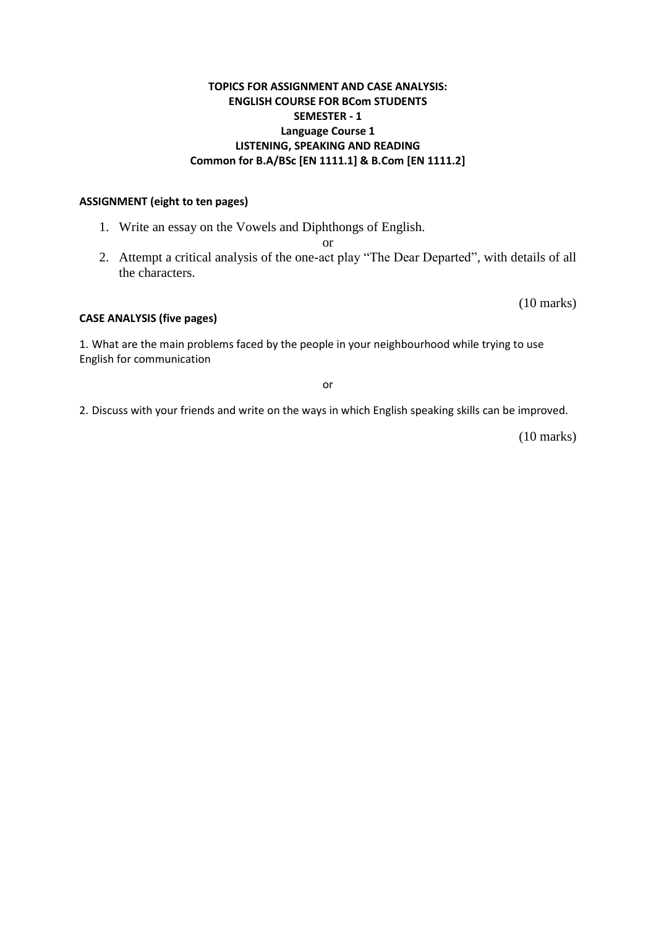#### **TOPICS FOR ASSIGNMENT AND CASE ANALYSIS: ENGLISH COURSE FOR BCom STUDENTS SEMESTER - 1 Language Course 1 LISTENING, SPEAKING AND READING Common for B.A/BSc [EN 1111.1] & B.Com [EN 1111.2]**

#### **ASSIGNMENT (eight to ten pages)**

- 1. Write an essay on the Vowels and Diphthongs of English.
	- or
- 2. Attempt a critical analysis of the one-act play "The Dear Departed", with details of all the characters.

(10 marks)

#### **CASE ANALYSIS (five pages)**

1. What are the main problems faced by the people in your neighbourhood while trying to use English for communication

or

2. Discuss with your friends and write on the ways in which English speaking skills can be improved.

(10 marks)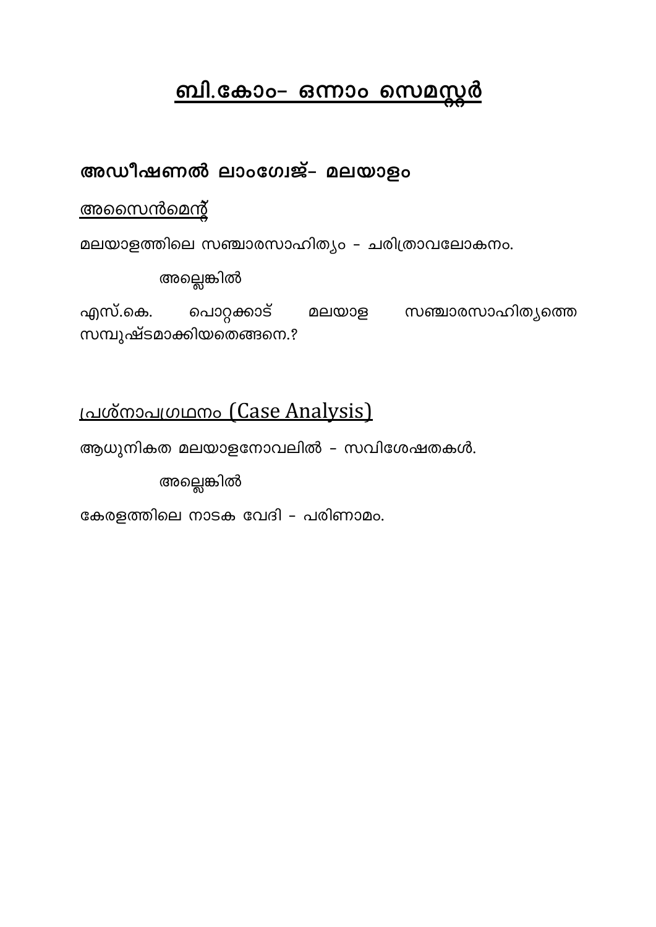# <u>ബി.കോം– ഒന്നാം സെമസ്ലർ</u>

# അഡീഷണൽ ലാംഗേജ്– മലയാളം

# <u>അസൈൻമെന്റ്</u>

മലയാളത്തിലെ സഞ്ചാരസാഹിത്യം – ചരിത്രാവലോകനം.

അല്ലെങ്കിൽ

എസ്.കെ. പൊറ്റക്കാട് മലയാള സഞ്ചാരസാഹിത്യത്തെ സമ്പുഷ്ടമാക്കിയതെങ്ങനെ.?

# $1$ പശ്നാപഗ്രഥനം (Case Analysis)

ആധുനികത മലയാളനോവലിൽ - സവിശേഷതകൾ.

അല്ലെങ്കിൽ

കേരളത്തിലെ നാടക വേദി – പരിണാമം.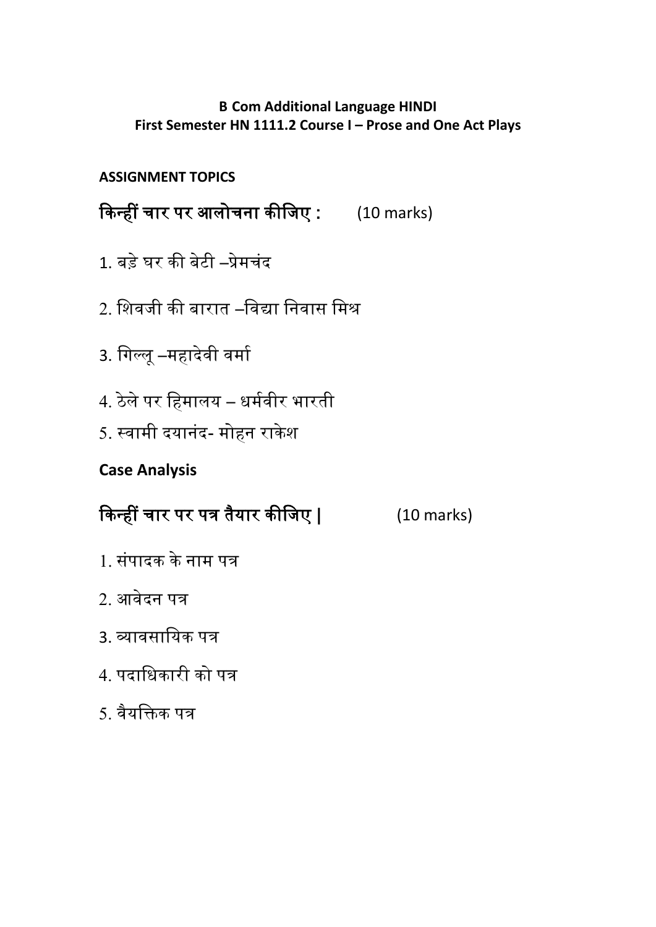## **B Com Additional Language HINDI First Semester HN 1111.2 Course I – Prose and One Act Plays**

## **ASSIGNMENT TOPICS**

किन्हीं चार पर आलोचना कीजिए : (10 marks)

- 1. बड़े घर िी बेटी –प्रेमचंद
- 2. जिविी िी बारात –जवद्या जनवास जमश्र
- 3. जिल्लू –महादेवी वमाा
- 4. ठेले पर जहमालय धमावीर भारती
- 5. स्वामी दयानंद- मोहन राकेश

# **Case Analysis**

# किन्हीं चार पर पत्र तैयार कीजिए | (10 marks)

- 1. संपादक के नाम पत्र
- 2. आवेदन पत्र
- 3. व्यावसाजयि पत्र
- 4. पदाधिकारी को पत्र
- 5. वैयजिि पत्र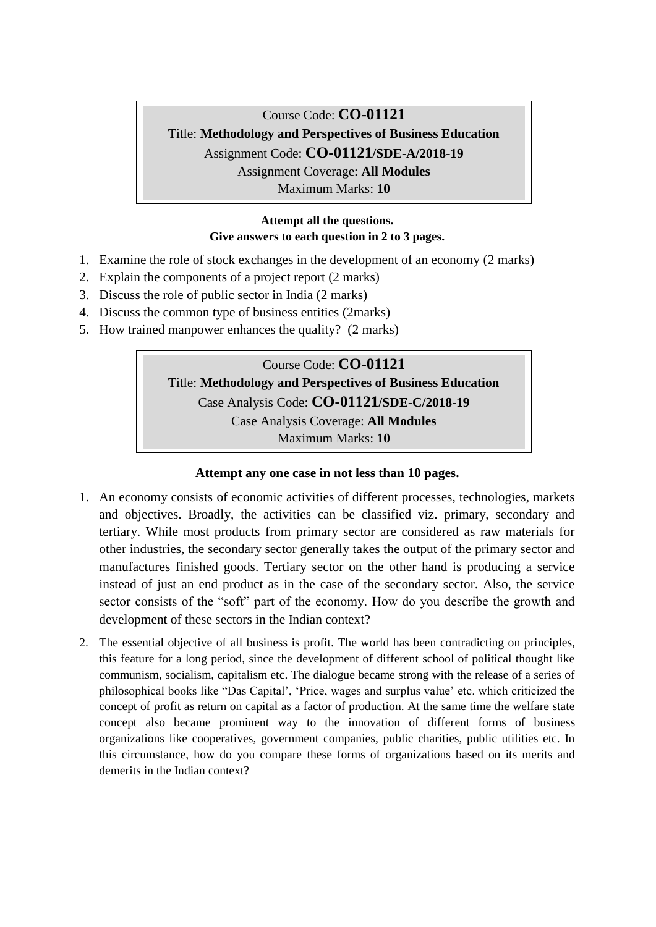### Course Code: **CO-01121** Title: **Methodology and Perspectives of Business Education** Assignment Code: **CO-01121/SDE-A/2018-19** Assignment Coverage: **All Modules** Maximum Marks: **10**

#### **Attempt all the questions. Give answers to each question in 2 to 3 pages.**

- 1. Examine the role of stock exchanges in the development of an economy (2 marks)
- 2. Explain the components of a project report (2 marks)
- 3. Discuss the role of public sector in India (2 marks)
- 4. Discuss the common type of business entities (2marks)
- 5. How trained manpower enhances the quality? (2 marks)

## Course Code: **CO-01121** Title: **Methodology and Perspectives of Business Education** Case Analysis Code: **CO-01121/SDE-C/2018-19** Case Analysis Coverage: **All Modules** Maximum Marks: **10**

#### **Attempt any one case in not less than 10 pages.**

- 1. An economy consists of economic activities of different processes, technologies, markets and objectives. Broadly, the activities can be classified viz. primary, secondary and tertiary. While most products from primary sector are considered as raw materials for other industries, the secondary sector generally takes the output of the primary sector and manufactures finished goods. Tertiary sector on the other hand is producing a service instead of just an end product as in the case of the secondary sector. Also, the service sector consists of the "soft" part of the economy. How do you describe the growth and development of these sectors in the Indian context?
- 2. The essential objective of all business is profit. The world has been contradicting on principles, this feature for a long period, since the development of different school of political thought like communism, socialism, capitalism etc. The dialogue became strong with the release of a series of philosophical books like "Das Capital", "Price, wages and surplus value" etc. which criticized the concept of profit as return on capital as a factor of production. At the same time the welfare state concept also became prominent way to the innovation of different forms of business organizations like cooperatives, government companies, public charities, public utilities etc. In this circumstance, how do you compare these forms of organizations based on its merits and demerits in the Indian context?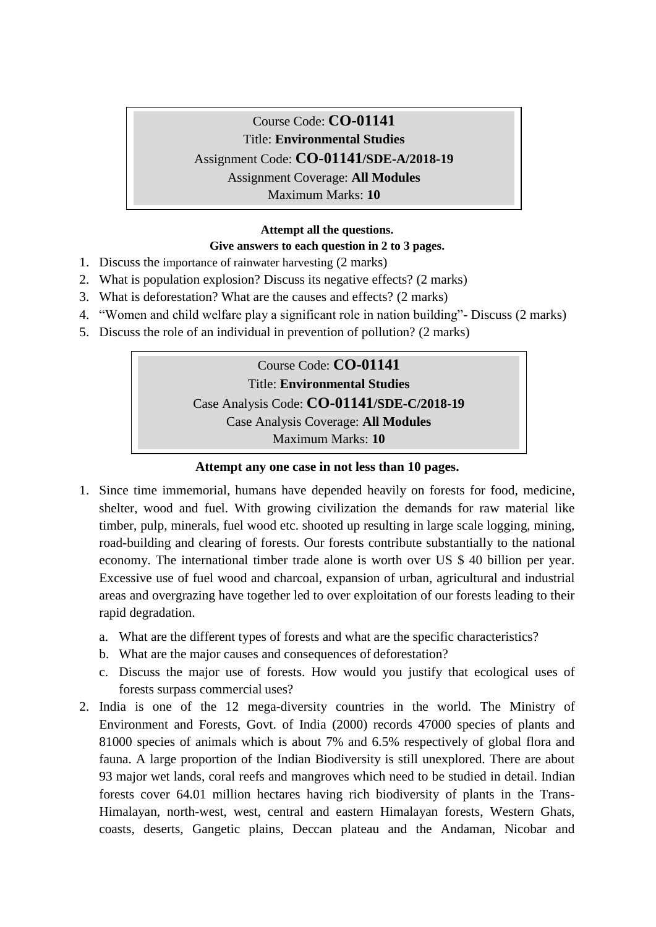## Course Code: **CO-01141** Title: **Environmental Studies** Assignment Code: **CO-01141/SDE-A/2018-19** Assignment Coverage: **All Modules** Maximum Marks: **10**

### **Attempt all the questions. Give answers to each question in 2 to 3 pages.**

- 1. Discuss the importance of rainwater harvesting (2 marks)
- 2. What is population explosion? Discuss its negative effects? (2 marks)
- 3. What is deforestation? What are the causes and effects? (2 marks)
- 4. "Women and child welfare play a significant role in nation building"- Discuss (2 marks)
- 5. Discuss the role of an individual in prevention of pollution? (2 marks)

### Course Code: **CO-01141** Title: **Environmental Studies**

Case Analysis Code: **CO-01141/SDE-C/2018-19**

Case Analysis Coverage: **All Modules**

Maximum Marks: **10**

### **Attempt any one case in not less than 10 pages.**

- 1. Since time immemorial, humans have depended heavily on forests for food, medicine, shelter, wood and fuel. With growing civilization the demands for raw material like timber, pulp, minerals, fuel wood etc. shooted up resulting in large scale logging, mining, road-building and clearing of forests. Our forests contribute substantially to the national economy. The international timber trade alone is worth over US \$ 40 billion per year. Excessive use of fuel wood and charcoal, expansion of urban, agricultural and industrial areas and overgrazing have together led to over exploitation of our forests leading to their rapid degradation.
	- a. What are the different types of forests and what are the specific characteristics?
	- b. What are the major causes and consequences of deforestation?
	- c. Discuss the major use of forests. How would you justify that ecological uses of forests surpass commercial uses?
- 2. India is one of the 12 mega-diversity countries in the world. The Ministry of Environment and Forests, Govt. of India (2000) records 47000 species of plants and 81000 species of animals which is about 7% and 6.5% respectively of global flora and fauna. A large proportion of the Indian Biodiversity is still unexplored. There are about 93 major wet lands, coral reefs and mangroves which need to be studied in detail. Indian forests cover 64.01 million hectares having rich biodiversity of plants in the Trans-Himalayan, north-west, west, central and eastern Himalayan forests, Western Ghats, coasts, deserts, Gangetic plains, Deccan plateau and the Andaman, Nicobar and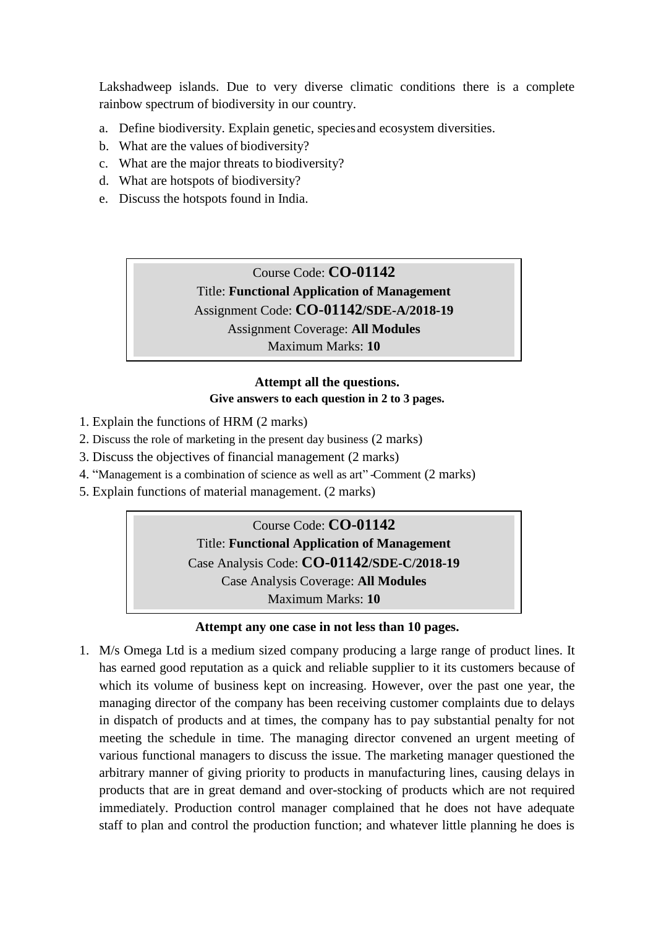Lakshadweep islands. Due to very diverse climatic conditions there is a complete rainbow spectrum of biodiversity in our country.

- a. Define biodiversity. Explain genetic, speciesand ecosystem diversities.
- b. What are the values of biodiversity?
- c. What are the major threats to biodiversity?
- d. What are hotspots of biodiversity?
- e. Discuss the hotspots found in India.

Course Code: **CO-01142** Title: **Functional Application of Management** Assignment Code: **CO-01142/SDE-A/2018-19** Assignment Coverage: **All Modules** Maximum Marks: **10**

### **Attempt all the questions. Give answers to each question in 2 to 3 pages.**

- 1. Explain the functions of HRM (2 marks)
- 2. Discuss the role of marketing in the present day business (2 marks)
- 3. Discuss the objectives of financial management (2 marks)
- 4. "Management is a combination of science as well as art" -Comment (2 marks)
- 5. Explain functions of material management. (2 marks)

Course Code: **CO-01142** Title: **Functional Application of Management** Case Analysis Code: **CO-01142/SDE-C/2018-19** Case Analysis Coverage: **All Modules** Maximum Marks: **10**

#### **Attempt any one case in not less than 10 pages.**

1. M/s Omega Ltd is a medium sized company producing a large range of product lines. It has earned good reputation as a quick and reliable supplier to it its customers because of which its volume of business kept on increasing. However, over the past one year, the managing director of the company has been receiving customer complaints due to delays in dispatch of products and at times, the company has to pay substantial penalty for not meeting the schedule in time. The managing director convened an urgent meeting of various functional managers to discuss the issue. The marketing manager questioned the arbitrary manner of giving priority to products in manufacturing lines, causing delays in products that are in great demand and over-stocking of products which are not required immediately. Production control manager complained that he does not have adequate staff to plan and control the production function; and whatever little planning he does is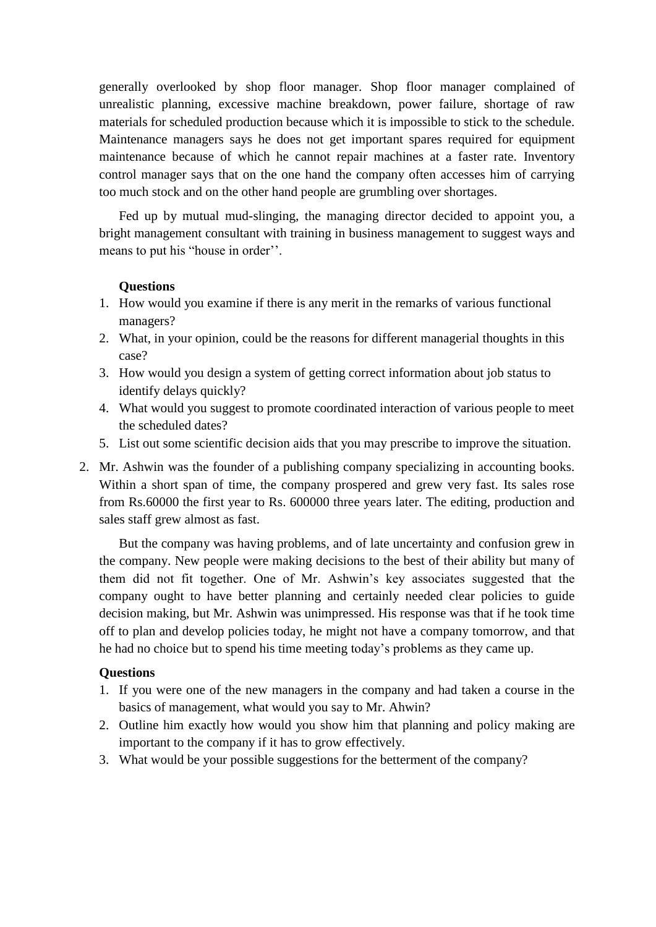generally overlooked by shop floor manager. Shop floor manager complained of unrealistic planning, excessive machine breakdown, power failure, shortage of raw materials for scheduled production because which it is impossible to stick to the schedule. Maintenance managers says he does not get important spares required for equipment maintenance because of which he cannot repair machines at a faster rate. Inventory control manager says that on the one hand the company often accesses him of carrying too much stock and on the other hand people are grumbling over shortages.

Fed up by mutual mud-slinging, the managing director decided to appoint you, a bright management consultant with training in business management to suggest ways and means to put his "house in order".

#### **Questions**

- 1. How would you examine if there is any merit in the remarks of various functional managers?
- 2. What, in your opinion, could be the reasons for different managerial thoughts in this case?
- 3. How would you design a system of getting correct information about job status to identify delays quickly?
- 4. What would you suggest to promote coordinated interaction of various people to meet the scheduled dates?
- 5. List out some scientific decision aids that you may prescribe to improve the situation.
- 2. Mr. Ashwin was the founder of a publishing company specializing in accounting books. Within a short span of time, the company prospered and grew very fast. Its sales rose from Rs.60000 the first year to Rs. 600000 three years later. The editing, production and sales staff grew almost as fast.

But the company was having problems, and of late uncertainty and confusion grew in the company. New people were making decisions to the best of their ability but many of them did not fit together. One of Mr. Ashwin"s key associates suggested that the company ought to have better planning and certainly needed clear policies to guide decision making, but Mr. Ashwin was unimpressed. His response was that if he took time off to plan and develop policies today, he might not have a company tomorrow, and that he had no choice but to spend his time meeting today"s problems as they came up.

#### **Questions**

- 1. If you were one of the new managers in the company and had taken a course in the basics of management, what would you say to Mr. Ahwin?
- 2. Outline him exactly how would you show him that planning and policy making are important to the company if it has to grow effectively.
- 3. What would be your possible suggestions for the betterment of the company?